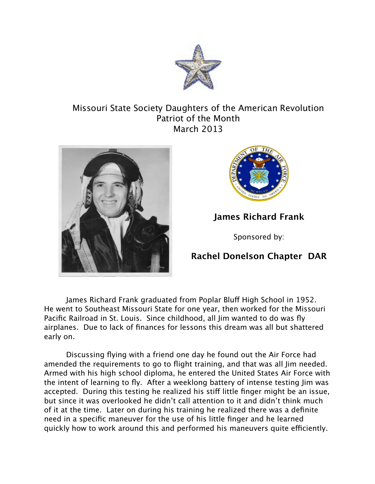

## Missouri State Society Daughters of the American Revolution Patriot of the Month March 2013





## **James Richard Frank**

Sponsored by:

## **Rachel Donelson Chapter DAR**

James Richard Frank graduated from Poplar Bluff High School in 1952. He went to Southeast Missouri State for one year, then worked for the Missouri Pacific Railroad in St. Louis. Since childhood, all Jim wanted to do was fly airplanes. Due to lack of finances for lessons this dream was all but shattered early on.

Discussing flying with a friend one day he found out the Air Force had amended the requirements to go to flight training, and that was all Jim needed. Armed with his high school diploma, he entered the United States Air Force with the intent of learning to fly. After a weeklong battery of intense testing Jim was accepted. During this testing he realized his stif little finger might be an issue, but since it was overlooked he didn't call attention to it and didn't think much of it at the time. Later on during his training he realized there was a definite need in a specific maneuver for the use of his little finger and he learned quickly how to work around this and performed his maneuvers quite efficiently.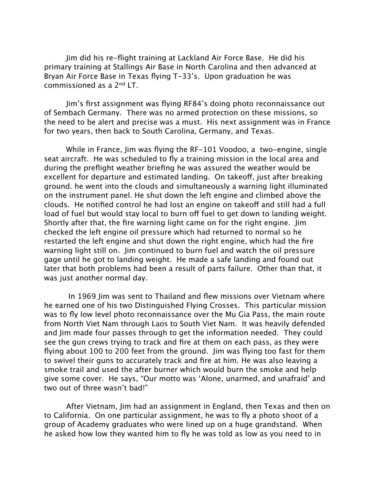Jim did his re-flight training at Lackland Air Force Base. He did his primary training at Stallings Air Base in North Carolina and then advanced at Bryan Air Force Base in Texas flying T-33's. Upon graduation he was commissioned as a 2nd LT.

Jim's first assignment was flying RF84's doing photo reconnaissance out of Sembach Germany. There was no armed protection on these missions, so the need to be alert and precise was a must. His next assignment was in France for two years, then back to South Carolina, Germany, and Texas.

While in France, Jim was flying the RF-101 Voodoo, a two-engine, single seat aircraft. He was scheduled to fly a training mission in the local area and during the preflight weather briefing he was assured the weather would be excellent for departure and estimated landing. On takeoff, just after breaking ground. he went into the clouds and simultaneously a warning light illuminated on the instrument panel. He shut down the left engine and climbed above the clouds. He notified control he had lost an engine on takeoff and still had a full load of fuel but would stay local to burn off fuel to get down to landing weight. Shortly after that, the fire warning light came on for the right engine. Jim checked the left engine oil pressure which had returned to normal so he restarted the left engine and shut down the right engine, which had the fire warning light still on. Jim continued to burn fuel and watch the oil pressure gage until he got to landing weight. He made a safe landing and found out later that both problems had been a result of parts failure. Other than that, it was just another normal day.

 In 1969 Jim was sent to Thailand and flew missions over Vietnam where he earned one of his two Distinguished Flying Crosses. This particular mission was to fly low level photo reconnaissance over the Mu Gia Pass, the main route from North Viet Nam through Laos to South Viet Nam. It was heavily defended and Jim made four passes through to get the information needed. They could see the gun crews trying to track and fire at them on each pass, as they were flying about 100 to 200 feet from the ground. Jim was flying too fast for them to swivel their guns to accurately track and fire at him. He was also leaving a smoke trail and used the after burner which would burn the smoke and help give some cover. He says, "Our motto was 'Alone, unarmed, and unafraid' and two out of three wasn't bad!"

After Vietnam, Jim had an assignment in England, then Texas and then on to California. On one particular assignment, he was to fly a photo shoot of a group of Academy graduates who were lined up on a huge grandstand. When he asked how low they wanted him to fly he was told as low as you need to in